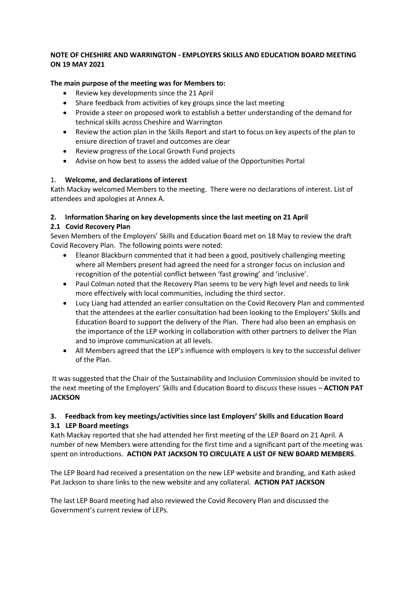### **NOTE OF CHESHIRE AND WARRINGTON - EMPLOYERS SKILLS AND EDUCATION BOARD MEETING ON 19 MAY 2021**

## **The main purpose of the meeting was for Members to:**

- Review key developments since the 21 April
- Share feedback from activities of key groups since the last meeting
- Provide a steer on proposed work to establish a better understanding of the demand for technical skills across Cheshire and Warrington
- Review the action plan in the Skills Report and start to focus on key aspects of the plan to ensure direction of travel and outcomes are clear
- Review progress of the Local Growth Fund projects
- Advise on how best to assess the added value of the Opportunities Portal

## 1. **Welcome, and declarations of interest**

Kath Mackay welcomed Members to the meeting. There were no declarations of interest. List of attendees and apologies at Annex A.

## **2. Information Sharing on key developments since the last meeting on 21 April**

## **2.1 Covid Recovery Plan**

Seven Members of the Employers' Skills and Education Board met on 18 May to review the draft Covid Recovery Plan. The following points were noted:

- Eleanor Blackburn commented that it had been a good, positively challenging meeting where all Members present had agreed the need for a stronger focus on inclusion and recognition of the potential conflict between 'fast growing' and 'inclusive'.
- Paul Colman noted that the Recovery Plan seems to be very high level and needs to link more effectively with local communities, including the third sector.
- Lucy Liang had attended an earlier consultation on the Covid Recovery Plan and commented that the attendees at the earlier consultation had been looking to the Employers' Skills and Education Board to support the delivery of the Plan. There had also been an emphasis on the importance of the LEP working in collaboration with other partners to deliver the Plan and to improve communication at all levels.
- All Members agreed that the LEP's influence with employers is key to the successful deliver of the Plan.

It was suggested that the Chair of the Sustainability and Inclusion Commission should be invited to the next meeting of the Employers' Skills and Education Board to discuss these issues – **ACTION PAT JACKSON**

## **3. Feedback from key meetings/activities since last Employers' Skills and Education Board 3.1 LEP Board meetings**

Kath Mackay reported that she had attended her first meeting of the LEP Board on 21 April. A number of new Members were attending for the first time and a significant part of the meeting was spent on introductions. **ACTION PAT JACKSON TO CIRCULATE A LIST OF NEW BOARD MEMBERS**.

The LEP Board had received a presentation on the new LEP website and branding, and Kath asked Pat Jackson to share links to the new website and any collateral. **ACTION PAT JACKSON**

The last LEP Board meeting had also reviewed the Covid Recovery Plan and discussed the Government's current review of LEPs.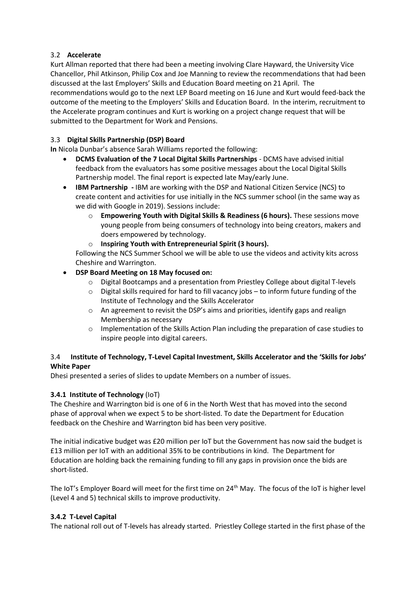## 3.2 **Accelerate**

Kurt Allman reported that there had been a meeting involving Clare Hayward, the University Vice Chancellor, Phil Atkinson, Philip Cox and Joe Manning to review the recommendations that had been discussed at the last Employers' Skills and Education Board meeting on 21 April. The recommendations would go to the next LEP Board meeting on 16 June and Kurt would feed-back the outcome of the meeting to the Employers' Skills and Education Board. In the interim, recruitment to the Accelerate program continues and Kurt is working on a project change request that will be submitted to the Department for Work and Pensions.

# 3.3 **Digital Skills Partnership (DSP) Board**

**In** Nicola Dunbar's absence Sarah Williams reported the following:

- **DCMS Evaluation of the 7 Local Digital Skills Partnerships**  DCMS have advised initial feedback from the evaluators has some positive messages about the Local Digital Skills Partnership model. The final report is expected late May/early June.
- **IBM Partnership -** IBM are working with the DSP and National Citizen Service (NCS) to create content and activities for use initially in the NCS summer school (in the same way as we did with Google in 2019). Sessions include:
	- o **Empowering Youth with Digital Skills & Readiness (6 hours).** These sessions move young people from being consumers of technology into being creators, makers and doers empowered by technology.
	- o **Inspiring Youth with Entrepreneurial Spirit (3 hours).**

Following the NCS Summer School we will be able to use the videos and activity kits across Cheshire and Warrington.

- **DSP Board Meeting on 18 May focused on:**
	- o Digital Bootcamps and a presentation from Priestley College about digital T-levels
	- $\circ$  Digital skills required for hard to fill vacancy jobs to inform future funding of the Institute of Technology and the Skills Accelerator
	- o An agreement to revisit the DSP's aims and priorities, identify gaps and realign Membership as necessary
	- o Implementation of the Skills Action Plan including the preparation of case studies to inspire people into digital careers.

## 3.4 **Institute of Technology, T-Level Capital Investment, Skills Accelerator and the 'Skills for Jobs' White Paper**

Dhesi presented a series of slides to update Members on a number of issues.

## **3.4.1 Institute of Technology** (IoT)

The Cheshire and Warrington bid is one of 6 in the North West that has moved into the second phase of approval when we expect 5 to be short-listed. To date the Department for Education feedback on the Cheshire and Warrington bid has been very positive.

The initial indicative budget was £20 million per IoT but the Government has now said the budget is £13 million per IoT with an additional 35% to be contributions in kind. The Department for Education are holding back the remaining funding to fill any gaps in provision once the bids are short-listed.

The IoT's Employer Board will meet for the first time on 24th May. The focus of the IoT is higher level (Level 4 and 5) technical skills to improve productivity.

## **3.4.2 T-Level Capital**

The national roll out of T-levels has already started. Priestley College started in the first phase of the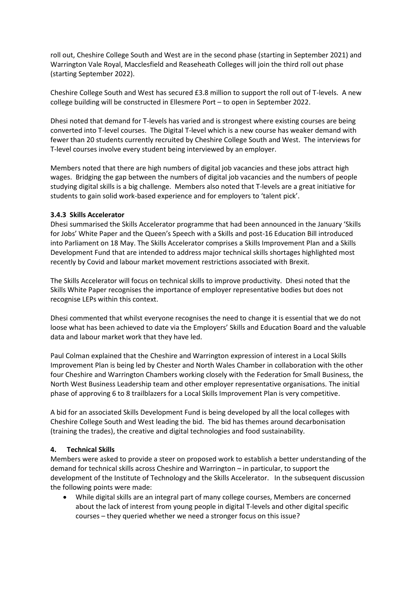roll out, Cheshire College South and West are in the second phase (starting in September 2021) and Warrington Vale Royal, Macclesfield and Reaseheath Colleges will join the third roll out phase (starting September 2022).

Cheshire College South and West has secured £3.8 million to support the roll out of T-levels. A new college building will be constructed in Ellesmere Port – to open in September 2022.

Dhesi noted that demand for T-levels has varied and is strongest where existing courses are being converted into T-level courses. The Digital T-level which is a new course has weaker demand with fewer than 20 students currently recruited by Cheshire College South and West. The interviews for T-level courses involve every student being interviewed by an employer.

Members noted that there are high numbers of digital job vacancies and these jobs attract high wages. Bridging the gap between the numbers of digital job vacancies and the numbers of people studying digital skills is a big challenge. Members also noted that T-levels are a great initiative for students to gain solid work-based experience and for employers to 'talent pick'.

#### **3.4.3 Skills Accelerator**

Dhesi summarised the Skills Accelerator programme that had been announced in the January 'Skills for Jobs' White Paper and the Queen's Speech with a Skills and post-16 Education Bill introduced into Parliament on 18 May. The Skills Accelerator comprises a Skills Improvement Plan and a Skills Development Fund that are intended to address major technical skills shortages highlighted most recently by Covid and labour market movement restrictions associated with Brexit.

The Skills Accelerator will focus on technical skills to improve productivity. Dhesi noted that the Skills White Paper recognises the importance of employer representative bodies but does not recognise LEPs within this context.

Dhesi commented that whilst everyone recognises the need to change it is essential that we do not loose what has been achieved to date via the Employers' Skills and Education Board and the valuable data and labour market work that they have led.

Paul Colman explained that the Cheshire and Warrington expression of interest in a Local Skills Improvement Plan is being led by Chester and North Wales Chamber in collaboration with the other four Cheshire and Warrington Chambers working closely with the Federation for Small Business, the North West Business Leadership team and other employer representative organisations. The initial phase of approving 6 to 8 trailblazers for a Local Skills Improvement Plan is very competitive.

A bid for an associated Skills Development Fund is being developed by all the local colleges with Cheshire College South and West leading the bid. The bid has themes around decarbonisation (training the trades), the creative and digital technologies and food sustainability.

## **4. Technical Skills**

Members were asked to provide a steer on proposed work to establish a better understanding of the demand for technical skills across Cheshire and Warrington – in particular, to support the development of the Institute of Technology and the Skills Accelerator. In the subsequent discussion the following points were made:

• While digital skills are an integral part of many college courses, Members are concerned about the lack of interest from young people in digital T-levels and other digital specific courses – they queried whether we need a stronger focus on this issue?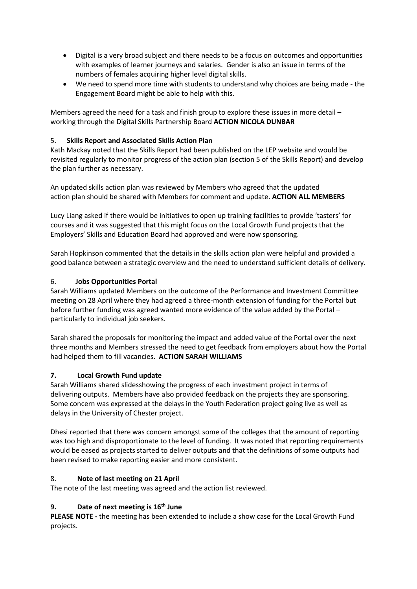- Digital is a very broad subject and there needs to be a focus on outcomes and opportunities with examples of learner journeys and salaries. Gender is also an issue in terms of the numbers of females acquiring higher level digital skills.
- We need to spend more time with students to understand why choices are being made the Engagement Board might be able to help with this.

Members agreed the need for a task and finish group to explore these issues in more detail – working through the Digital Skills Partnership Board **ACTION NICOLA DUNBAR**

## 5. **Skills Report and Associated Skills Action Plan**

Kath Mackay noted that the Skills Report had been published on the LEP website and would be revisited regularly to monitor progress of the action plan (section 5 of the Skills Report) and develop the plan further as necessary.

An updated skills action plan was reviewed by Members who agreed that the updated action plan should be shared with Members for comment and update. **ACTION ALL MEMBERS**

Lucy Liang asked if there would be initiatives to open up training facilities to provide 'tasters' for courses and it was suggested that this might focus on the Local Growth Fund projects that the Employers' Skills and Education Board had approved and were now sponsoring.

Sarah Hopkinson commented that the details in the skills action plan were helpful and provided a good balance between a strategic overview and the need to understand sufficient details of delivery.

## 6. **Jobs Opportunities Portal**

Sarah Williams updated Members on the outcome of the Performance and Investment Committee meeting on 28 April where they had agreed a three-month extension of funding for the Portal but before further funding was agreed wanted more evidence of the value added by the Portal – particularly to individual job seekers.

Sarah shared the proposals for monitoring the impact and added value of the Portal over the next three months and Members stressed the need to get feedback from employers about how the Portal had helped them to fill vacancies. **ACTION SARAH WILLIAMS**

## **7. Local Growth Fund update**

Sarah Williams shared slidesshowing the progress of each investment project in terms of delivering outputs. Members have also provided feedback on the projects they are sponsoring. Some concern was expressed at the delays in the Youth Federation project going live as well as delays in the University of Chester project.

Dhesi reported that there was concern amongst some of the colleges that the amount of reporting was too high and disproportionate to the level of funding. It was noted that reporting requirements would be eased as projects started to deliver outputs and that the definitions of some outputs had been revised to make reporting easier and more consistent.

## 8. **Note of last meeting on 21 April**

The note of the last meeting was agreed and the action list reviewed.

## **9. Date of next meeting is 16th June**

**PLEASE NOTE -** the meeting has been extended to include a show case for the Local Growth Fund projects.